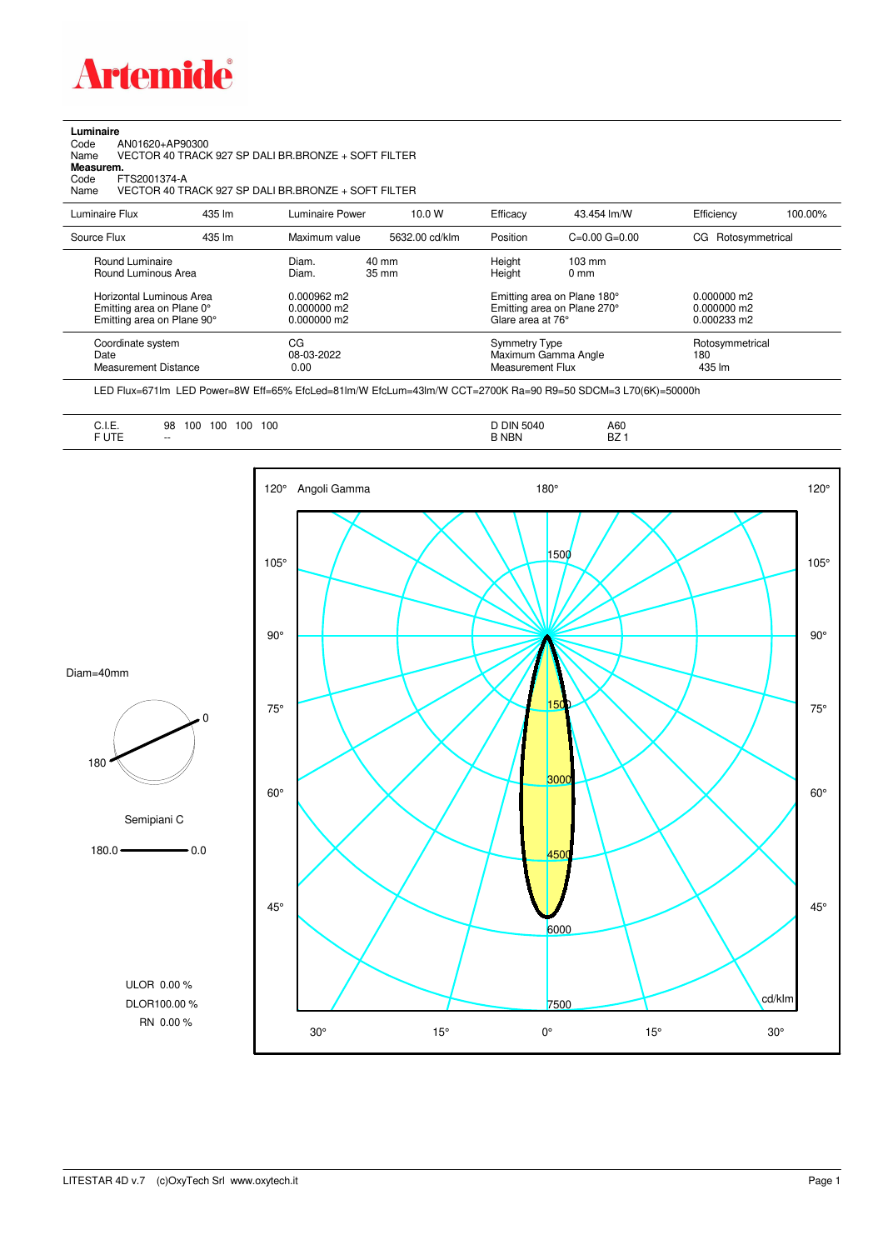

**Luminaire**<br>Code<br>Name Code AN01620+AP90300 Name VECTOR 40 TRACK 927 SP DALI BR.BRONZE + SOFT FILTER

**Measurem.**

Code FTS2001374-A<br>Name VECTOR 40 TF Name VECTOR 40 TRACK 927 SP DALI BR.BRONZE + SOFT FILTER

| Luminaire Flux                                                                                                                | 435 lm | Luminaire Power                                                          | 10.0 W                             | Efficacy                                 | 43.454 lm/W                                                                                      | Efficiency                                      | 100.00% |
|-------------------------------------------------------------------------------------------------------------------------------|--------|--------------------------------------------------------------------------|------------------------------------|------------------------------------------|--------------------------------------------------------------------------------------------------|-------------------------------------------------|---------|
| Source Flux                                                                                                                   | 435 lm | Maximum value                                                            | 5632.00 cd/klm                     | Position                                 | $C=0.00$ $G=0.00$                                                                                | Rotosymmetrical<br>CG                           |         |
| Round Luminaire<br>Round Luminous Area<br>Horizontal Luminous Area<br>Emitting area on Plane 0°<br>Emitting area on Plane 90° |        | Diam.<br>Diam.<br>$0.000962 \text{ m}$<br>$0.000000$ m2<br>$0.000000$ m2 | $40 \text{ mm}$<br>$35 \text{ mm}$ | Height<br>Height<br>Glare area at 76°    | $103 \text{ mm}$<br>$0 \text{ mm}$<br>Emitting area on Plane 180°<br>Emitting area on Plane 270° | $0.000000$ m2<br>$0.000000$ m2<br>$0.000233$ m2 |         |
| Coordinate system<br>Date<br><b>Measurement Distance</b>                                                                      |        | CG<br>08-03-2022<br>0.00                                                 |                                    | <b>Symmetry Type</b><br>Measurement Flux | Maximum Gamma Angle                                                                              | Rotosymmetrical<br>180<br>435 lm                |         |

LED Flux=671lm LED Power=8W Eff=65% EfcLed=81lm/W EfcLum=43lm/W CCT=2700K Ra=90 R9=50 SDCM=3 L70(6K)=50000h